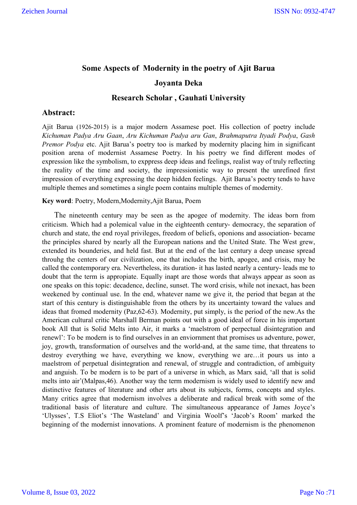# **Some Aspects of Modernity in the poetry of Ajit Barua Joyanta Deka**

## **Research Scholar , Gauhati University**

## **Abstract:**

Ajit Barua (1926-2015) is a major modern Assamese poet. His collection of poetry include *Kichuman Padya Aru Gaan*, *Aru Kichuman Padya aru Gan*, *Brahmaputra Ityadi Podya*, *Gash Premor Podya* etc. Ajit Barua's poetry too is marked by modernity placing him in significant position arena of modernist Assamese Poetry. In his poetry we find different modes of expression like the symbolism, to exppress deep ideas and feelings, realist way of truly reflecting the reality of the time and society, the impressionistic way to present the unrefined first impression of everything expressing the deep hidden feelings. Ajit Barua's poetry tends to have multiple themes and sometimes a single poem contains multiple themes of modernity.

**Key word**: Poetry, Modern,Modernity,Ajit Barua, Poem

 The nineteenth century may be seen as the apogee of modernity. The ideas born from criticism. Which had a polemical value in the eighteenth century- democracy, the separation of church and state, the end royal privileges, freedom of beliefs, oponions and association- became the principles shared by nearly all the European nations and the United State. The West grew, extended its bounderies, and held fast. But at the end of the last century a deep unease spread throuhg the centers of our civilization, one that includes the birth, apogee, and crisis, may be called the contemporary era. Nevertheless, its duration- it has lasted nearly a century- leads me to doubt that the term is appropiate. Equally inapt are those words that always appear as soon as one speaks on this topic: decadence, decline, sunset. The word crisis, while not inexact, has been weekened by continual use. In the end, whatever name we give it, the period that began at the start of this century is distinguishable from the others by its uncertainty toward the values and ideas that fromed modernity (Paz,62-63). Modernity, put simply, is the period of the new.As the American cultural critic Marshall Berman points out with a good ideal of force in his important book All that is Solid Melts into Air, it marks a 'maelstrom of perpectual disintegration and renewl': To be modern is to find ourselves in an enviornment that promises us adventure, power, joy, growth, transformation of ourselves and the world-and, at the same time, that threatens to destroy everything we have, everything we know, everything we are…it pours us into a maelstrom of perpetual disintegration and renewal, of struggle and contradiction, of ambiguity and anguish. To be modern is to be part of a universe in which, as Marx said, 'all that is solid melts into air'(Malpas,46). Another way the term modernism is widely used to identify new and distinctive features of literature and other arts about its subjects, forms, concepts and styles. Many critics agree that modernism involves a deliberate and radical break with some of the traditional basis of literature and culture. The simultaneous appearance of James Joyce's 'Ulysses', T.S Eliot's 'The Wasteland' and Virginia Woolf's 'Jacob's Room' marked the beginning of the modernist innovations. A prominent feature of modernism is the phenomenon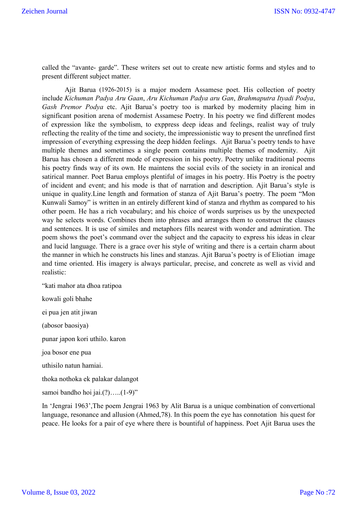called the "avante- garde". These writers set out to create new artistic forms and styles and to present different subject matter.

 Ajit Barua (1926-2015) is a major modern Assamese poet. His collection of poetry include *Kichuman Padya Aru Gaan*, *Aru Kichuman Padya aru Gan*, *Brahmaputra Ityadi Podya*, *Gash Premor Podya* etc. Ajit Barua's poetry too is marked by modernity placing him in significant position arena of modernist Assamese Poetry. In his poetry we find different modes of expression like the symbolism, to exppress deep ideas and feelings, realist way of truly reflecting the reality of the time and society, the impressionistic way to present the unrefined first impression of everything expressing the deep hidden feelings. Ajit Barua's poetry tends to have multiple themes and sometimes a single poem contains multiple themes of modernity. Ajit Barua has chosen a different mode of expression in his poetry. Poetry unlike traditional poems his poetry finds way of its own. He maintens the social evils of the society in an ironical and satirical manner. Poet Barua employs plentiful of images in his poetry. His Poetry is the poetry of incident and event; and his mode is that of narration and description. Ajit Barua's style is unique in quality.Line length and formation of stanza of Ajit Barua's poetry. The poem "Mon Kunwali Samoy" is written in an entirely different kind of stanza and rhythm as compared to his other poem. He has a rich vocabulary; and his choice of words surprises us by the unexpected way he selects words. Combines them into phrases and arranges them to construct the clauses and sentences. It is use of similes and metaphors fills nearest with wonder and admiration. The poem shows the poet's command over the subject and the capacity to express his ideas in clear and lucid language. There is a grace over his style of writing and there is a certain charm about the manner in which he constructs his lines and stanzas. Ajit Barua's poetry is of Eliotian image and time oriented. His imagery is always particular, precise, and concrete as well as vivid and realistic:

"kati mahor ata dhoa ratipoa kowali goli bhahe

ei pua jen atit jiwan

(abosor baosiya)

punar japon kori uthilo. karon

joa bosor ene pua

uthisilo natun hamiai.

thoka nothoka ek palakar dalangot

samoi bandho hoi jai.(?).....(1-9)"

In 'Jengrai 1963',The poem Jengrai 1963 by Alit Barua is a unique combination of convertional language, resonance and allusion (Ahmed,78). In this poem the eye has connotation his quest for peace. He looks for a pair of eye where there is bountiful of happiness. Poet Ajit Barua uses the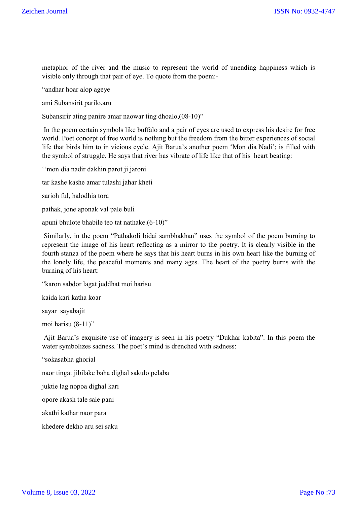metaphor of the river and the music to represent the world of unending happiness which is visible only through that pair of eye. To quote from the poem:-

"andhar hoar alop ageye

ami Subansirit parilo.aru

Subansirir ating panire amar naowar ting dhoalo,(08-10)"

In the poem certain symbols like buffalo and a pair of eyes are used to express his desire for free world. Poet concept of free world is nothing but the freedom from the bitter experiences of social life that birds him to in vicious cycle. Ajit Barua's another poem 'Mon dia Nadi'; is filled with the symbol of struggle. He says that river has vibrate of life like that of his heart beating:

''mon dia nadir dakhin parot ji jaroni

tar kashe kashe amar tulashi jahar kheti

sarioh ful, halodhia tora

pathak, jone aponak val pale buli

apuni bhulote bhabile teo tat nathake.(6-10)"

Similarly, in the poem "Pathakoli bidai sambhakhan" uses the symbol of the poem burning to represent the image of his heart reflecting as a mirror to the poetry. It is clearly visible in the fourth stanza of the poem where he says that his heart burns in his own heart like the burning of the lonely life, the peaceful moments and many ages. The heart of the poetry burns with the burning of his heart:

"karon sabdor lagat juddhat moi harisu

kaida kari katha koar

sayar sayabajit

moi harisu (8-11)"

Ajit Barua's exquisite use of imagery is seen in his poetry "Dukhar kabita". In this poem the water symbolizes sadness. The poet's mind is drenched with sadness:

"sokasabha ghorial

naor tingat jibilake baha dighal sakulo pelaba

juktie lag nopoa dighal kari

opore akash tale sale pani

akathi kathar naor para

khedere dekho aru sei saku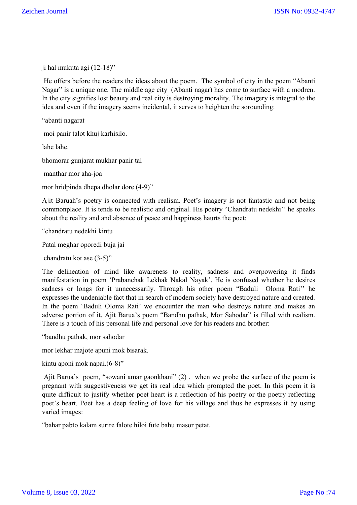ji hal mukuta agi (12-18)"

He offers before the readers the ideas about the poem. The symbol of city in the poem "Abanti Nagar" is a unique one. The middle age city (Abanti nagar) has come to surface with a modren. In the city signifies lost beauty and real city is destroying morality. The imagery is integral to the idea and even if the imagery seems incidental, it serves to heighten the sorounding:

"abanti nagarat

moi panir talot khuj karhisilo.

lahe lahe.

bhomorar gunjarat mukhar panir tal

manthar mor aha-joa

mor hridpinda dhepa dholar dore (4-9)"

Ajit Baruah's poetry is connected with realism. Poet's imagery is not fantastic and not being commonplace. It is tends to be realistic and original. His poetry "Chandratu nedekhi'' he speaks about the reality and and absence of peace and happiness haurts the poet:

"chandratu nedekhi kintu

Patal meghar oporedi buja jai

chandratu kot ase (3-5)"

The delineation of mind like awareness to reality, sadness and overpowering it finds manifestation in poem 'Prabanchak Lekhak Nakal Nayak'. He is confused whether he desires sadness or longs for it unnecessarily. Through his other poem "Baduli Oloma Rati'' he expresses the undeniable fact that in search of modern society have destroyed nature and created. In the poem 'Baduli Oloma Rati' we encounter the man who destroys nature and makes an adverse portion of it. Ajit Barua's poem "Bandhu pathak, Mor Sahodar" is filled with realism. There is a touch of his personal life and personal love for his readers and brother:

"bandhu pathak, mor sahodar

mor lekhar majote apuni mok bisarak.

kintu aponi mok napai.(6-8)"

Ajit Barua's poem, "sowani amar gaonkhani" (2) . when we probe the surface of the poem is pregnant with suggestiveness we get its real idea which prompted the poet. In this poem it is quite difficult to justify whether poet heart is a reflection of his poetry or the poetry reflecting poet's heart. Poet has a deep feeling of love for his village and thus he expresses it by using varied images:

"bahar pabto kalam surire falote hiloi fute bahu masor petat.